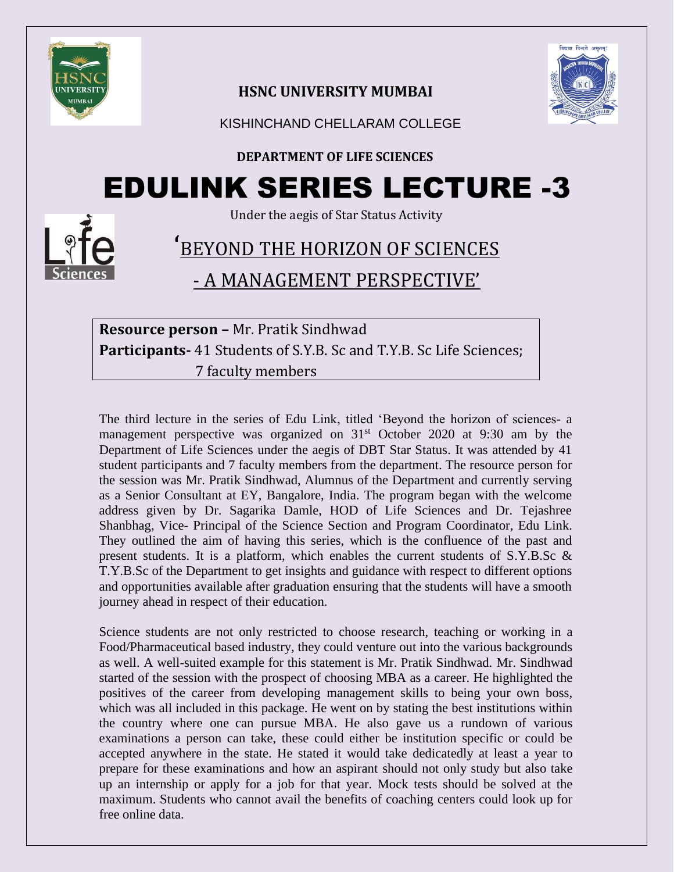

## **HSNC UNIVERSITY MUMBAI**



KISHINCHAND CHELLARAM COLLEGE

### **DEPARTMENT OF LIFE SCIENCES**

# EDULINK SERIES LECTURE -3

Under the aegis of Star Status Activity

# ' BEYOND THE HORIZON OF SCIENCES - A MANAGEMENT PERSPECTIVE'

# **Resource person –** Mr. Pratik Sindhwad **Participants-** 41 Students of S.Y.B. Sc and T.Y.B. Sc Life Sciences; 7 faculty members

The third lecture in the series of Edu Link, titled 'Beyond the horizon of sciences- a management perspective was organized on  $31<sup>st</sup>$  October 2020 at 9:30 am by the Department of Life Sciences under the aegis of DBT Star Status. It was attended by 41 student participants and 7 faculty members from the department. The resource person for the session was Mr. Pratik Sindhwad, Alumnus of the Department and currently serving as a Senior Consultant at EY, Bangalore, India. The program began with the welcome address given by Dr. Sagarika Damle, HOD of Life Sciences and Dr. Tejashree Shanbhag, Vice- Principal of the Science Section and Program Coordinator, Edu Link. They outlined the aim of having this series, which is the confluence of the past and present students. It is a platform, which enables the current students of S.Y.B.Sc & T.Y.B.Sc of the Department to get insights and guidance with respect to different options and opportunities available after graduation ensuring that the students will have a smooth journey ahead in respect of their education.

Science students are not only restricted to choose research, teaching or working in a Food/Pharmaceutical based industry, they could venture out into the various backgrounds as well. A well-suited example for this statement is Mr. Pratik Sindhwad. Mr. Sindhwad started of the session with the prospect of choosing MBA as a career. He highlighted the positives of the career from developing management skills to being your own boss, which was all included in this package. He went on by stating the best institutions within the country where one can pursue MBA. He also gave us a rundown of various examinations a person can take, these could either be institution specific or could be accepted anywhere in the state. He stated it would take dedicatedly at least a year to prepare for these examinations and how an aspirant should not only study but also take up an internship or apply for a job for that year. Mock tests should be solved at the maximum. Students who cannot avail the benefits of coaching centers could look up for free online data.